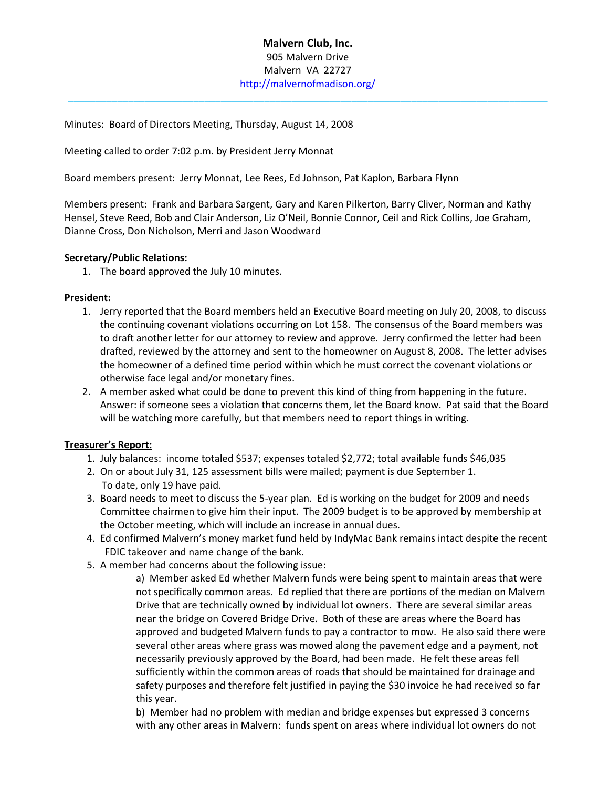### Malvern Club, Inc. 905 Malvern Drive Malvern VA 22727 http://malvernofmadison.org/

 $\_$  ,  $\_$  ,  $\_$  ,  $\_$  ,  $\_$  ,  $\_$  ,  $\_$  ,  $\_$  ,  $\_$  ,  $\_$  ,  $\_$  ,  $\_$  ,  $\_$  ,  $\_$  ,  $\_$  ,  $\_$  ,  $\_$  ,  $\_$  ,  $\_$  ,  $\_$ 

Minutes: Board of Directors Meeting, Thursday, August 14, 2008

Meeting called to order 7:02 p.m. by President Jerry Monnat

Board members present: Jerry Monnat, Lee Rees, Ed Johnson, Pat Kaplon, Barbara Flynn

Members present: Frank and Barbara Sargent, Gary and Karen Pilkerton, Barry Cliver, Norman and Kathy Hensel, Steve Reed, Bob and Clair Anderson, Liz O'Neil, Bonnie Connor, Ceil and Rick Collins, Joe Graham, Dianne Cross, Don Nicholson, Merri and Jason Woodward

#### Secretary/Public Relations:

1. The board approved the July 10 minutes.

#### President:

- 1. Jerry reported that the Board members held an Executive Board meeting on July 20, 2008, to discuss the continuing covenant violations occurring on Lot 158. The consensus of the Board members was to draft another letter for our attorney to review and approve. Jerry confirmed the letter had been drafted, reviewed by the attorney and sent to the homeowner on August 8, 2008. The letter advises the homeowner of a defined time period within which he must correct the covenant violations or otherwise face legal and/or monetary fines.
- 2. A member asked what could be done to prevent this kind of thing from happening in the future. Answer: if someone sees a violation that concerns them, let the Board know. Pat said that the Board will be watching more carefully, but that members need to report things in writing.

#### Treasurer's Report:

- 1. July balances: income totaled \$537; expenses totaled \$2,772; total available funds \$46,035
- 2. On or about July 31, 125 assessment bills were mailed; payment is due September 1. To date, only 19 have paid.
- 3. Board needs to meet to discuss the 5-year plan. Ed is working on the budget for 2009 and needs Committee chairmen to give him their input. The 2009 budget is to be approved by membership at the October meeting, which will include an increase in annual dues.
- 4. Ed confirmed Malvern's money market fund held by IndyMac Bank remains intact despite the recent FDIC takeover and name change of the bank.
- 5. A member had concerns about the following issue:

a) Member asked Ed whether Malvern funds were being spent to maintain areas that were not specifically common areas. Ed replied that there are portions of the median on Malvern Drive that are technically owned by individual lot owners. There are several similar areas near the bridge on Covered Bridge Drive. Both of these are areas where the Board has approved and budgeted Malvern funds to pay a contractor to mow. He also said there were several other areas where grass was mowed along the pavement edge and a payment, not necessarily previously approved by the Board, had been made. He felt these areas fell sufficiently within the common areas of roads that should be maintained for drainage and safety purposes and therefore felt justified in paying the \$30 invoice he had received so far this year.

b) Member had no problem with median and bridge expenses but expressed 3 concerns with any other areas in Malvern: funds spent on areas where individual lot owners do not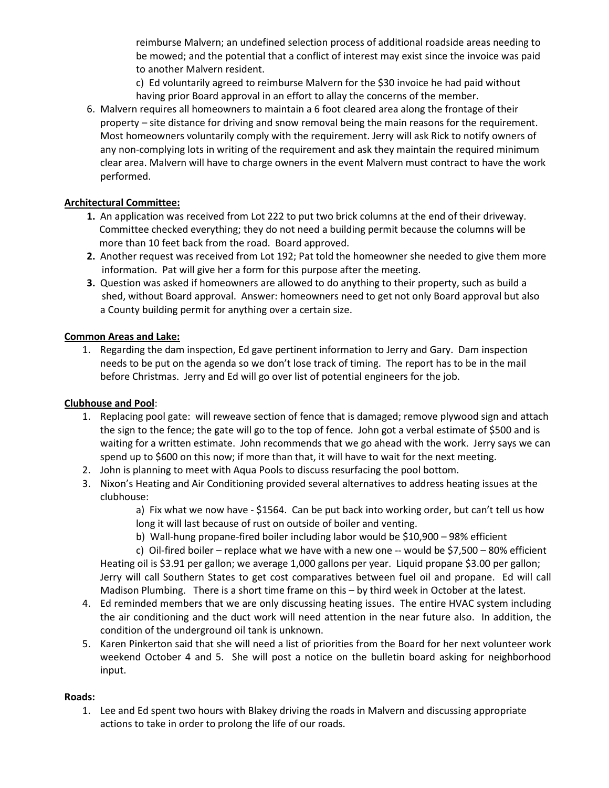reimburse Malvern; an undefined selection process of additional roadside areas needing to be mowed; and the potential that a conflict of interest may exist since the invoice was paid to another Malvern resident.

c) Ed voluntarily agreed to reimburse Malvern for the \$30 invoice he had paid without having prior Board approval in an effort to allay the concerns of the member.

6. Malvern requires all homeowners to maintain a 6 foot cleared area along the frontage of their property – site distance for driving and snow removal being the main reasons for the requirement. Most homeowners voluntarily comply with the requirement. Jerry will ask Rick to notify owners of any non-complying lots in writing of the requirement and ask they maintain the required minimum clear area. Malvern will have to charge owners in the event Malvern must contract to have the work performed.

# Architectural Committee:

- 1. An application was received from Lot 222 to put two brick columns at the end of their driveway. Committee checked everything; they do not need a building permit because the columns will be more than 10 feet back from the road. Board approved.
- 2. Another request was received from Lot 192; Pat told the homeowner she needed to give them more information. Pat will give her a form for this purpose after the meeting.
- 3. Question was asked if homeowners are allowed to do anything to their property, such as build a shed, without Board approval. Answer: homeowners need to get not only Board approval but also a County building permit for anything over a certain size.

# Common Areas and Lake:

1. Regarding the dam inspection, Ed gave pertinent information to Jerry and Gary. Dam inspection needs to be put on the agenda so we don't lose track of timing. The report has to be in the mail before Christmas. Jerry and Ed will go over list of potential engineers for the job.

# Clubhouse and Pool:

- 1. Replacing pool gate: will reweave section of fence that is damaged; remove plywood sign and attach the sign to the fence; the gate will go to the top of fence. John got a verbal estimate of \$500 and is waiting for a written estimate. John recommends that we go ahead with the work. Jerry says we can spend up to \$600 on this now; if more than that, it will have to wait for the next meeting.
- 2. John is planning to meet with Aqua Pools to discuss resurfacing the pool bottom.
- 3. Nixon's Heating and Air Conditioning provided several alternatives to address heating issues at the clubhouse:

a) Fix what we now have - \$1564. Can be put back into working order, but can't tell us how long it will last because of rust on outside of boiler and venting.

b) Wall-hung propane-fired boiler including labor would be \$10,900 – 98% efficient

c) Oil-fired boiler – replace what we have with a new one -- would be \$7,500 – 80% efficient Heating oil is \$3.91 per gallon; we average 1,000 gallons per year. Liquid propane \$3.00 per gallon; Jerry will call Southern States to get cost comparatives between fuel oil and propane. Ed will call Madison Plumbing. There is a short time frame on this – by third week in October at the latest.

- 4. Ed reminded members that we are only discussing heating issues. The entire HVAC system including the air conditioning and the duct work will need attention in the near future also. In addition, the condition of the underground oil tank is unknown.
- 5. Karen Pinkerton said that she will need a list of priorities from the Board for her next volunteer work weekend October 4 and 5. She will post a notice on the bulletin board asking for neighborhood input.

# Roads:

1. Lee and Ed spent two hours with Blakey driving the roads in Malvern and discussing appropriate actions to take in order to prolong the life of our roads.